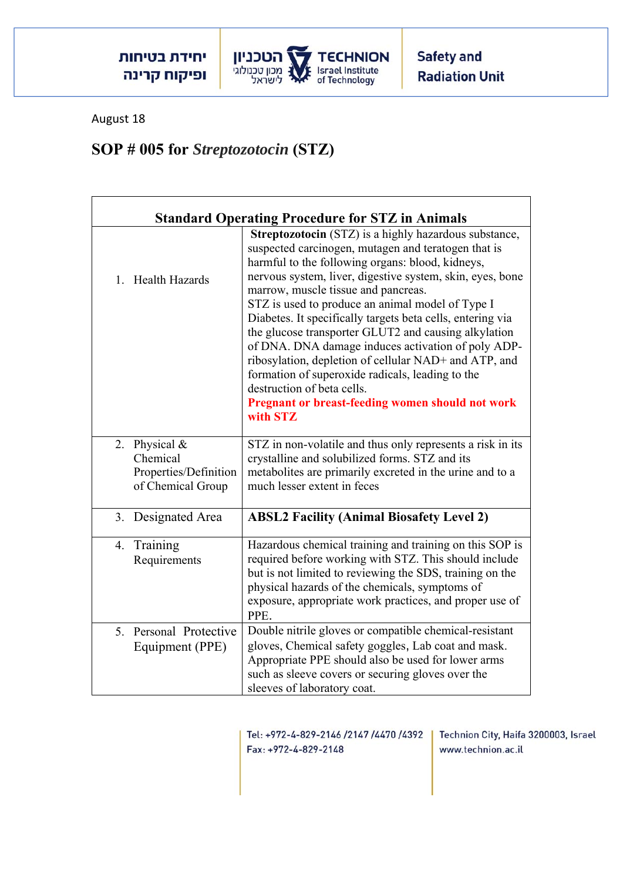

August 18

## **SOP # 005 for** *Streptozotocin* **(STZ)**

| <b>Standard Operating Procedure for STZ in Animals</b>                  |                                                                                                                                                                                                                                                                                                                                                                                                                                                                                                                                                                                                                                                                                                                        |  |
|-------------------------------------------------------------------------|------------------------------------------------------------------------------------------------------------------------------------------------------------------------------------------------------------------------------------------------------------------------------------------------------------------------------------------------------------------------------------------------------------------------------------------------------------------------------------------------------------------------------------------------------------------------------------------------------------------------------------------------------------------------------------------------------------------------|--|
| 1. Health Hazards                                                       | Streptozotocin (STZ) is a highly hazardous substance,<br>suspected carcinogen, mutagen and teratogen that is<br>harmful to the following organs: blood, kidneys,<br>nervous system, liver, digestive system, skin, eyes, bone<br>marrow, muscle tissue and pancreas.<br>STZ is used to produce an animal model of Type I<br>Diabetes. It specifically targets beta cells, entering via<br>the glucose transporter GLUT2 and causing alkylation<br>of DNA. DNA damage induces activation of poly ADP-<br>ribosylation, depletion of cellular NAD+ and ATP, and<br>formation of superoxide radicals, leading to the<br>destruction of beta cells.<br><b>Pregnant or breast-feeding women should not work</b><br>with STZ |  |
| 2. Physical &<br>Chemical<br>Properties/Definition<br>of Chemical Group | STZ in non-volatile and thus only represents a risk in its<br>crystalline and solubilized forms. STZ and its<br>metabolites are primarily excreted in the urine and to a<br>much lesser extent in feces                                                                                                                                                                                                                                                                                                                                                                                                                                                                                                                |  |
| 3. Designated Area                                                      | <b>ABSL2 Facility (Animal Biosafety Level 2)</b>                                                                                                                                                                                                                                                                                                                                                                                                                                                                                                                                                                                                                                                                       |  |
| 4. Training<br>Requirements                                             | Hazardous chemical training and training on this SOP is<br>required before working with STZ. This should include<br>but is not limited to reviewing the SDS, training on the<br>physical hazards of the chemicals, symptoms of<br>exposure, appropriate work practices, and proper use of<br>PPE.                                                                                                                                                                                                                                                                                                                                                                                                                      |  |
| 5. Personal Protective<br>Equipment (PPE)                               | Double nitrile gloves or compatible chemical-resistant<br>gloves, Chemical safety goggles, Lab coat and mask.<br>Appropriate PPE should also be used for lower arms<br>such as sleeve covers or securing gloves over the<br>sleeves of laboratory coat.                                                                                                                                                                                                                                                                                                                                                                                                                                                                |  |

Tel: +972-4-829-2146 /2147 /4470 /4392 Fax: +972-4-829-2148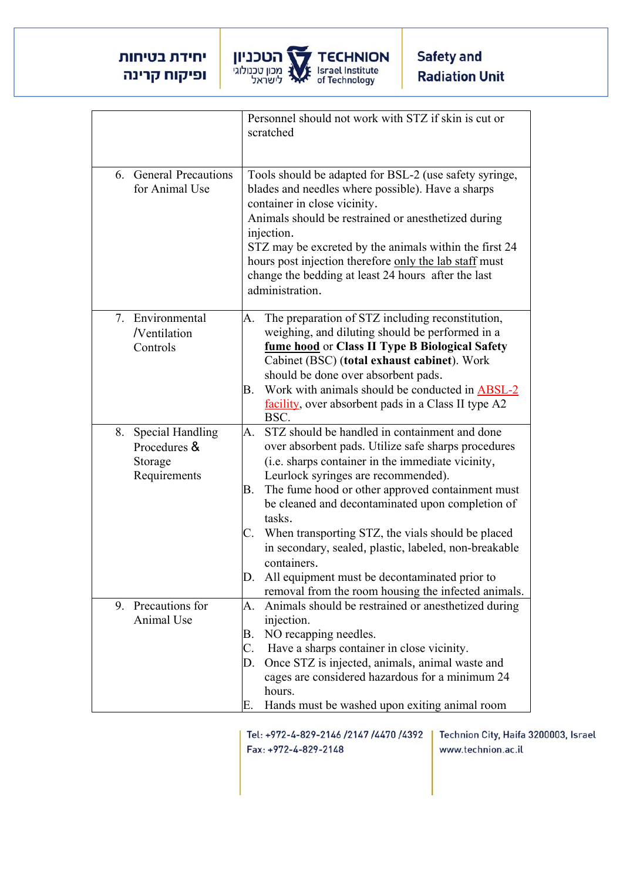

|                                                                | Personnel should not work with STZ if skin is cut or<br>scratched                                                                                                                                                                                                                                                                                                                                                                                                                                                                                                         |
|----------------------------------------------------------------|---------------------------------------------------------------------------------------------------------------------------------------------------------------------------------------------------------------------------------------------------------------------------------------------------------------------------------------------------------------------------------------------------------------------------------------------------------------------------------------------------------------------------------------------------------------------------|
| 6. General Precautions<br>for Animal Use                       | Tools should be adapted for BSL-2 (use safety syringe,<br>blades and needles where possible). Have a sharps<br>container in close vicinity.<br>Animals should be restrained or anesthetized during<br>injection.<br>STZ may be excreted by the animals within the first 24<br>hours post injection therefore only the lab staff must<br>change the bedding at least 24 hours after the last<br>administration.                                                                                                                                                            |
| 7. Environmental<br>/Ventilation<br>Controls                   | The preparation of STZ including reconstitution,<br>A.<br>weighing, and diluting should be performed in a<br>fume hood or Class II Type B Biological Safety<br>Cabinet (BSC) (total exhaust cabinet). Work<br>should be done over absorbent pads.<br>Work with animals should be conducted in ABSL-2<br>В.<br>facility, over absorbent pads in a Class II type A2<br>BSC.                                                                                                                                                                                                 |
| 8. Special Handling<br>Procedures &<br>Storage<br>Requirements | STZ should be handled in containment and done<br>A.<br>over absorbent pads. Utilize safe sharps procedures<br>(i.e. sharps container in the immediate vicinity,<br>Leurlock syringes are recommended).<br>The fume hood or other approved containment must<br>В.<br>be cleaned and decontaminated upon completion of<br>tasks.<br>When transporting STZ, the vials should be placed<br>C.<br>in secondary, sealed, plastic, labeled, non-breakable<br>containers.<br>All equipment must be decontaminated prior to<br>removal from the room housing the infected animals. |
| 9. Precautions for<br>Animal Use                               | Animals should be restrained or anesthetized during<br>A.<br>injection.<br>NO recapping needles.<br>В.<br>C. Have a sharps container in close vicinity.<br>Once STZ is injected, animals, animal waste and<br>D.<br>cages are considered hazardous for a minimum 24<br>hours.<br>Hands must be washed upon exiting animal room<br>Е.                                                                                                                                                                                                                                      |

Tel: +972-4-829-2146 /2147 /4470 /4392 Fax: +972-4-829-2148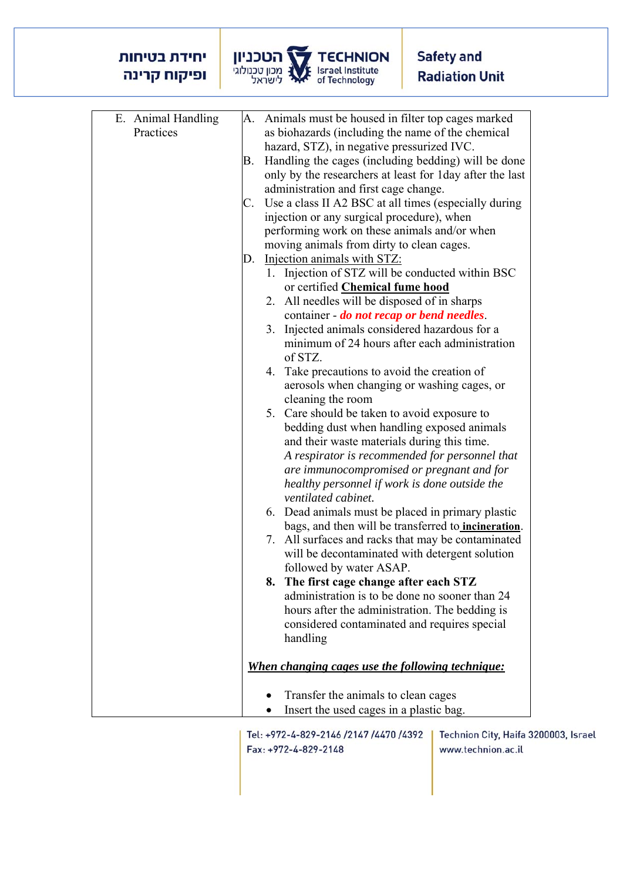## יחידת בטיחות ופיקוח קרינה



| E. Animal Handling |    | A. Animals must be housed in filter top cages marked        |
|--------------------|----|-------------------------------------------------------------|
| Practices          |    | as biohazards (including the name of the chemical           |
|                    |    | hazard, STZ), in negative pressurized IVC.                  |
|                    | В. | Handling the cages (including bedding) will be done         |
|                    |    | only by the researchers at least for 1 day after the last   |
|                    |    | administration and first cage change.                       |
|                    | C. | Use a class II A2 BSC at all times (especially during       |
|                    |    | injection or any surgical procedure), when                  |
|                    |    | performing work on these animals and/or when                |
|                    |    | moving animals from dirty to clean cages.                   |
|                    | D. | Injection animals with STZ:                                 |
|                    |    | 1. Injection of STZ will be conducted within BSC            |
|                    |    |                                                             |
|                    |    | or certified Chemical fume hood                             |
|                    |    | 2. All needles will be disposed of in sharps                |
|                    |    | container - <i>do not recap or bend needles</i> .           |
|                    |    | 3. Injected animals considered hazardous for a              |
|                    |    | minimum of 24 hours after each administration               |
|                    |    | of STZ.                                                     |
|                    |    | Take precautions to avoid the creation of<br>4.             |
|                    |    | aerosols when changing or washing cages, or                 |
|                    |    | cleaning the room                                           |
|                    |    | 5. Care should be taken to avoid exposure to                |
|                    |    | bedding dust when handling exposed animals                  |
|                    |    | and their waste materials during this time.                 |
|                    |    | A respirator is recommended for personnel that              |
|                    |    | are immunocompromised or pregnant and for                   |
|                    |    | healthy personnel if work is done outside the               |
|                    |    | ventilated cabinet.                                         |
|                    |    | 6. Dead animals must be placed in primary plastic           |
|                    |    | bags, and then will be transferred to <i>incineration</i> . |
|                    |    | All surfaces and racks that may be contaminated<br>7.       |
|                    |    | will be decontaminated with detergent solution              |
|                    |    | followed by water ASAP.                                     |
|                    |    | 8. The first cage change after each STZ                     |
|                    |    | administration is to be done no sooner than 24              |
|                    |    | hours after the administration. The bedding is              |
|                    |    | considered contaminated and requires special                |
|                    |    | handling                                                    |
|                    |    |                                                             |
|                    |    | <u>When changing cages use the following technique:</u>     |
|                    |    | Transfer the animals to clean cages                         |
|                    |    | Insert the used cages in a plastic bag.                     |

Tel: +972-4-829-2146 /2147 /4470 /4392 Fax: +972-4-829-2148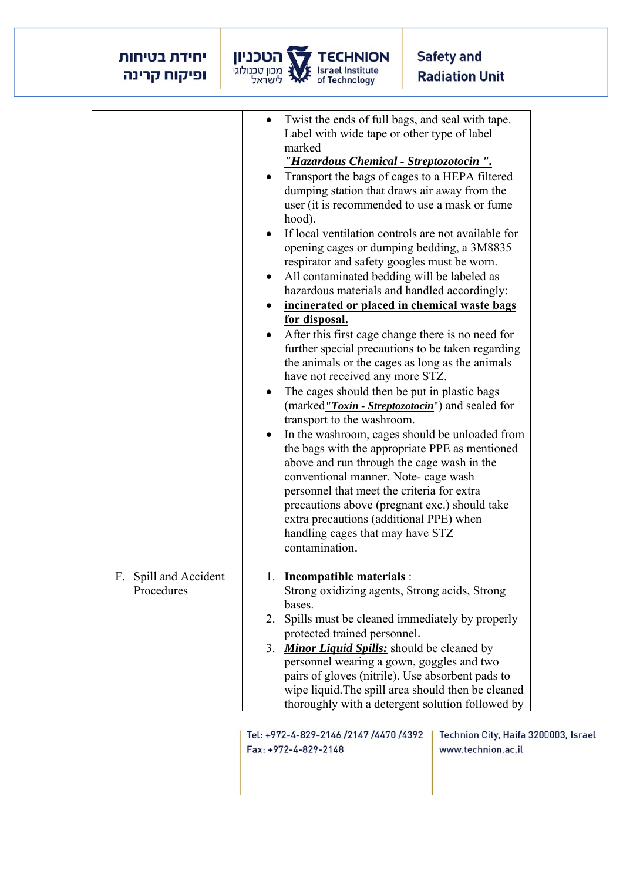## יחידת בטיחות ופיקוח קרינה



|                                     | Twist the ends of full bags, and seal with tape.<br>$\bullet$<br>Label with wide tape or other type of label<br>marked<br>"Hazardous Chemical - Streptozotocin".<br>Transport the bags of cages to a HEPA filtered<br>dumping station that draws air away from the<br>user (it is recommended to use a mask or fume<br>hood).<br>If local ventilation controls are not available for<br>opening cages or dumping bedding, a 3M8835<br>respirator and safety googles must be worn.<br>All contaminated bedding will be labeled as<br>hazardous materials and handled accordingly:<br>incinerated or placed in chemical waste bags<br>for disposal.<br>After this first cage change there is no need for<br>further special precautions to be taken regarding<br>the animals or the cages as long as the animals<br>have not received any more STZ.<br>The cages should then be put in plastic bags<br>(marked"Toxin - Streptozotocin") and sealed for<br>transport to the washroom.<br>In the washroom, cages should be unloaded from<br>the bags with the appropriate PPE as mentioned<br>above and run through the cage wash in the<br>conventional manner. Note- cage wash<br>personnel that meet the criteria for extra<br>precautions above (pregnant exc.) should take<br>extra precautions (additional PPE) when<br>handling cages that may have STZ<br>contamination. |
|-------------------------------------|------------------------------------------------------------------------------------------------------------------------------------------------------------------------------------------------------------------------------------------------------------------------------------------------------------------------------------------------------------------------------------------------------------------------------------------------------------------------------------------------------------------------------------------------------------------------------------------------------------------------------------------------------------------------------------------------------------------------------------------------------------------------------------------------------------------------------------------------------------------------------------------------------------------------------------------------------------------------------------------------------------------------------------------------------------------------------------------------------------------------------------------------------------------------------------------------------------------------------------------------------------------------------------------------------------------------------------------------------------------------------|
| F. Spill and Accident<br>Procedures | 1. Incompatible materials :<br>Strong oxidizing agents, Strong acids, Strong<br>bases.<br>2. Spills must be cleaned immediately by properly<br>protected trained personnel.<br>3. Minor Liquid Spills: should be cleaned by<br>personnel wearing a gown, goggles and two<br>pairs of gloves (nitrile). Use absorbent pads to<br>wipe liquid. The spill area should then be cleaned<br>thoroughly with a detergent solution followed by                                                                                                                                                                                                                                                                                                                                                                                                                                                                                                                                                                                                                                                                                                                                                                                                                                                                                                                                       |

Tel: +972-4-829-2146 /2147 /4470 /4392 Fax: +972-4-829-2148